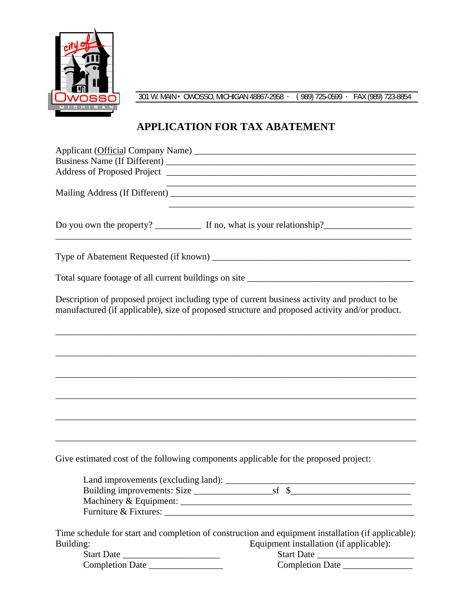

301 W. MAIN OWOSSO, MICHIGAN 48867-2958 · (989) 725-0599 · FAX (989) 723-8854

## **APPLICATION FOR TAX ABATEMENT**

|                                                                                      | and the control of the control of the control of the control of the control of the control of the control of the                                                                                |
|--------------------------------------------------------------------------------------|-------------------------------------------------------------------------------------------------------------------------------------------------------------------------------------------------|
|                                                                                      | <u> 1989 - Johann Barbara, martxa al III-lea (h. 1989).</u>                                                                                                                                     |
|                                                                                      |                                                                                                                                                                                                 |
|                                                                                      |                                                                                                                                                                                                 |
|                                                                                      | Description of proposed project including type of current business activity and product to be<br>manufactured (if applicable), size of proposed structure and proposed activity and/or product. |
|                                                                                      |                                                                                                                                                                                                 |
|                                                                                      |                                                                                                                                                                                                 |
|                                                                                      |                                                                                                                                                                                                 |
|                                                                                      |                                                                                                                                                                                                 |
|                                                                                      |                                                                                                                                                                                                 |
| Give estimated cost of the following components applicable for the proposed project: |                                                                                                                                                                                                 |
|                                                                                      |                                                                                                                                                                                                 |
|                                                                                      |                                                                                                                                                                                                 |
|                                                                                      |                                                                                                                                                                                                 |
|                                                                                      |                                                                                                                                                                                                 |
|                                                                                      | Time schedule for start and completion of construction and equipment installation (if applicable):                                                                                              |
| Building:                                                                            | Equipment installation (if applicable):                                                                                                                                                         |
| Start Date                                                                           | Start Date                                                                                                                                                                                      |
| Completion Date                                                                      | Completion Date                                                                                                                                                                                 |